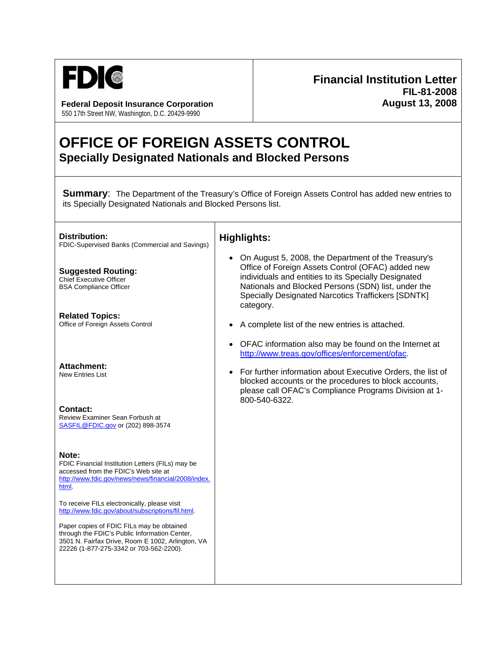

**Federal Deposit Insurance Corporation August 13, 2008** 550 17th Street NW, Washington, D.C. 20429-9990

# **Financial Institution Letter FIL-81-2008**

## **OFFICE OF FOREIGN ASSETS CONTROL Specially Designated Nationals and Blocked Persons**

**Summary:** The Department of the Treasury's Office of Foreign Assets Control has added new entries to its Specially Designated Nationals and Blocked Persons list.

| Highlights:                                                                                                                                                                                                                                                                                                            |
|------------------------------------------------------------------------------------------------------------------------------------------------------------------------------------------------------------------------------------------------------------------------------------------------------------------------|
| On August 5, 2008, the Department of the Treasury's<br>$\bullet$<br>Office of Foreign Assets Control (OFAC) added new<br>individuals and entities to its Specially Designated<br>Nationals and Blocked Persons (SDN) list, under the<br>Specially Designated Narcotics Traffickers [SDNTK]<br>category.                |
| A complete list of the new entries is attached.                                                                                                                                                                                                                                                                        |
| OFAC information also may be found on the Internet at<br>http://www.treas.gov/offices/enforcement/ofac.<br>For further information about Executive Orders, the list of<br>$\bullet$<br>blocked accounts or the procedures to block accounts,<br>please call OFAC's Compliance Programs Division at 1-<br>800-540-6322. |
|                                                                                                                                                                                                                                                                                                                        |
|                                                                                                                                                                                                                                                                                                                        |
|                                                                                                                                                                                                                                                                                                                        |
|                                                                                                                                                                                                                                                                                                                        |
|                                                                                                                                                                                                                                                                                                                        |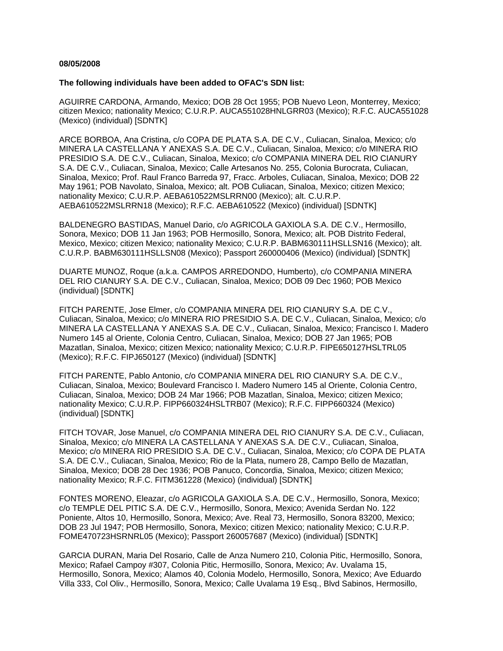#### **08/05/2008**

#### **The following individuals have been added to OFAC's SDN list:**

AGUIRRE CARDONA, Armando, Mexico; DOB 28 Oct 1955; POB Nuevo Leon, Monterrey, Mexico; citizen Mexico; nationality Mexico; C.U.R.P. AUCA551028HNLGRR03 (Mexico); R.F.C. AUCA551028 (Mexico) (individual) [SDNTK]

ARCE BORBOA, Ana Cristina, c/o COPA DE PLATA S.A. DE C.V., Culiacan, Sinaloa, Mexico; c/o MINERA LA CASTELLANA Y ANEXAS S.A. DE C.V., Culiacan, Sinaloa, Mexico; c/o MINERA RIO PRESIDIO S.A. DE C.V., Culiacan, Sinaloa, Mexico; c/o COMPANIA MINERA DEL RIO CIANURY S.A. DE C.V., Culiacan, Sinaloa, Mexico; Calle Artesanos No. 255, Colonia Burocrata, Culiacan, Sinaloa, Mexico; Prof. Raul Franco Barreda 97, Fracc. Arboles, Culiacan, Sinaloa, Mexico; DOB 22 May 1961; POB Navolato, Sinaloa, Mexico; alt. POB Culiacan, Sinaloa, Mexico; citizen Mexico; nationality Mexico; C.U.R.P. AEBA610522MSLRRN00 (Mexico); alt. C.U.R.P. AEBA610522MSLRRN18 (Mexico); R.F.C. AEBA610522 (Mexico) (individual) [SDNTK]

BALDENEGRO BASTIDAS, Manuel Dario, c/o AGRICOLA GAXIOLA S.A. DE C.V., Hermosillo, Sonora, Mexico; DOB 11 Jan 1963; POB Hermosillo, Sonora, Mexico; alt. POB Distrito Federal, Mexico, Mexico; citizen Mexico; nationality Mexico; C.U.R.P. BABM630111HSLLSN16 (Mexico); alt. C.U.R.P. BABM630111HSLLSN08 (Mexico); Passport 260000406 (Mexico) (individual) [SDNTK]

DUARTE MUNOZ, Roque (a.k.a. CAMPOS ARREDONDO, Humberto), c/o COMPANIA MINERA DEL RIO CIANURY S.A. DE C.V., Culiacan, Sinaloa, Mexico; DOB 09 Dec 1960; POB Mexico (individual) [SDNTK]

FITCH PARENTE, Jose Elmer, c/o COMPANIA MINERA DEL RIO CIANURY S.A. DE C.V., Culiacan, Sinaloa, Mexico; c/o MINERA RIO PRESIDIO S.A. DE C.V., Culiacan, Sinaloa, Mexico; c/o MINERA LA CASTELLANA Y ANEXAS S.A. DE C.V., Culiacan, Sinaloa, Mexico; Francisco I. Madero Numero 145 al Oriente, Colonia Centro, Culiacan, Sinaloa, Mexico; DOB 27 Jan 1965; POB Mazatlan, Sinaloa, Mexico; citizen Mexico; nationality Mexico; C.U.R.P. FIPE650127HSLTRL05 (Mexico); R.F.C. FIPJ650127 (Mexico) (individual) [SDNTK]

FITCH PARENTE, Pablo Antonio, c/o COMPANIA MINERA DEL RIO CIANURY S.A. DE C.V., Culiacan, Sinaloa, Mexico; Boulevard Francisco I. Madero Numero 145 al Oriente, Colonia Centro, Culiacan, Sinaloa, Mexico; DOB 24 Mar 1966; POB Mazatlan, Sinaloa, Mexico; citizen Mexico; nationality Mexico; C.U.R.P. FIPP660324HSLTRB07 (Mexico); R.F.C. FIPP660324 (Mexico) (individual) [SDNTK]

FITCH TOVAR, Jose Manuel, c/o COMPANIA MINERA DEL RIO CIANURY S.A. DE C.V., Culiacan, Sinaloa, Mexico; c/o MINERA LA CASTELLANA Y ANEXAS S.A. DE C.V., Culiacan, Sinaloa, Mexico; c/o MINERA RIO PRESIDIO S.A. DE C.V., Culiacan, Sinaloa, Mexico; c/o COPA DE PLATA S.A. DE C.V., Culiacan, Sinaloa, Mexico; Rio de la Plata, numero 28, Campo Bello de Mazatlan, Sinaloa, Mexico; DOB 28 Dec 1936; POB Panuco, Concordia, Sinaloa, Mexico; citizen Mexico; nationality Mexico; R.F.C. FITM361228 (Mexico) (individual) [SDNTK]

FONTES MORENO, Eleazar, c/o AGRICOLA GAXIOLA S.A. DE C.V., Hermosillo, Sonora, Mexico; c/o TEMPLE DEL PITIC S.A. DE C.V., Hermosillo, Sonora, Mexico; Avenida Serdan No. 122 Poniente, Altos 10, Hermosillo, Sonora, Mexico; Ave. Real 73, Hermosillo, Sonora 83200, Mexico; DOB 23 Jul 1947; POB Hermosillo, Sonora, Mexico; citizen Mexico; nationality Mexico; C.U.R.P. FOME470723HSRNRL05 (Mexico); Passport 260057687 (Mexico) (individual) [SDNTK]

GARCIA DURAN, Maria Del Rosario, Calle de Anza Numero 210, Colonia Pitic, Hermosillo, Sonora, Mexico; Rafael Campoy #307, Colonia Pitic, Hermosillo, Sonora, Mexico; Av. Uvalama 15, Hermosillo, Sonora, Mexico; Alamos 40, Colonia Modelo, Hermosillo, Sonora, Mexico; Ave Eduardo Villa 333, Col Oliv., Hermosillo, Sonora, Mexico; Calle Uvalama 19 Esq., Blvd Sabinos, Hermosillo,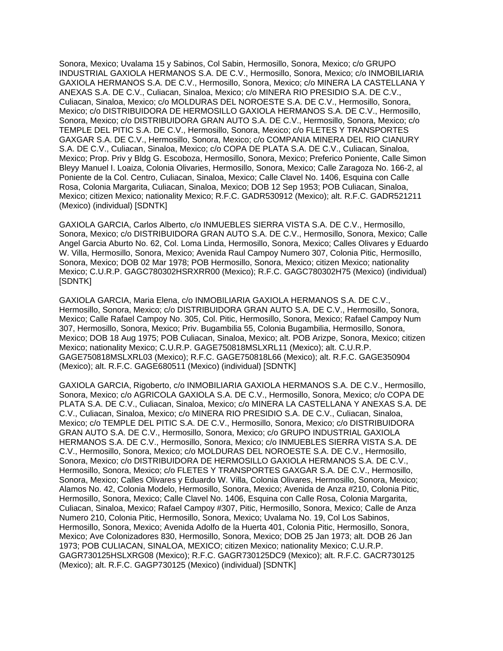Sonora, Mexico; Uvalama 15 y Sabinos, Col Sabin, Hermosillo, Sonora, Mexico; c/o GRUPO INDUSTRIAL GAXIOLA HERMANOS S.A. DE C.V., Hermosillo, Sonora, Mexico; c/o INMOBILIARIA GAXIOLA HERMANOS S.A. DE C.V., Hermosillo, Sonora, Mexico; c/o MINERA LA CASTELLANA Y ANEXAS S.A. DE C.V., Culiacan, Sinaloa, Mexico; c/o MINERA RIO PRESIDIO S.A. DE C.V., Culiacan, Sinaloa, Mexico; c/o MOLDURAS DEL NOROESTE S.A. DE C.V., Hermosillo, Sonora, Mexico; c/o DISTRIBUIDORA DE HERMOSILLO GAXIOLA HERMANOS S.A. DE C.V., Hermosillo, Sonora, Mexico; c/o DISTRIBUIDORA GRAN AUTO S.A. DE C.V., Hermosillo, Sonora, Mexico; c/o TEMPLE DEL PITIC S.A. DE C.V., Hermosillo, Sonora, Mexico; c/o FLETES Y TRANSPORTES GAXGAR S.A. DE C.V., Hermosillo, Sonora, Mexico; c/o COMPANIA MINERA DEL RIO CIANURY S.A. DE C.V., Culiacan, Sinaloa, Mexico; c/o COPA DE PLATA S.A. DE C.V., Culiacan, Sinaloa, Mexico; Prop. Priv y Bldg G. Escoboza, Hermosillo, Sonora, Mexico; Preferico Poniente, Calle Simon Bleyy Manuel I. Loaiza, Colonia Olivaries, Hermosillo, Sonora, Mexico; Calle Zaragoza No. 166-2, al Poniente de la Col. Centro, Culiacan, Sinaloa, Mexico; Calle Clavel No. 1406, Esquina con Calle Rosa, Colonia Margarita, Culiacan, Sinaloa, Mexico; DOB 12 Sep 1953; POB Culiacan, Sinaloa, Mexico; citizen Mexico; nationality Mexico; R.F.C. GADR530912 (Mexico); alt. R.F.C. GADR521211 (Mexico) (individual) [SDNTK]

GAXIOLA GARCIA, Carlos Alberto, c/o INMUEBLES SIERRA VISTA S.A. DE C.V., Hermosillo, Sonora, Mexico; c/o DISTRIBUIDORA GRAN AUTO S.A. DE C.V., Hermosillo, Sonora, Mexico; Calle Angel Garcia Aburto No. 62, Col. Loma Linda, Hermosillo, Sonora, Mexico; Calles Olivares y Eduardo W. Villa, Hermosillo, Sonora, Mexico; Avenida Raul Campoy Numero 307, Colonia Pitic, Hermosillo, Sonora, Mexico; DOB 02 Mar 1978; POB Hermosillo, Sonora, Mexico; citizen Mexico; nationality Mexico; C.U.R.P. GAGC780302HSRXRR00 (Mexico); R.F.C. GAGC780302H75 (Mexico) (individual) [SDNTK]

GAXIOLA GARCIA, Maria Elena, c/o INMOBILIARIA GAXIOLA HERMANOS S.A. DE C.V., Hermosillo, Sonora, Mexico; c/o DISTRIBUIDORA GRAN AUTO S.A. DE C.V., Hermosillo, Sonora, Mexico; Calle Rafael Campoy No. 305, Col. Pitic, Hermosillo, Sonora, Mexico; Rafael Campoy Num 307, Hermosillo, Sonora, Mexico; Priv. Bugambilia 55, Colonia Bugambilia, Hermosillo, Sonora, Mexico; DOB 18 Aug 1975; POB Culiacan, Sinaloa, Mexico; alt. POB Arizpe, Sonora, Mexico; citizen Mexico; nationality Mexico; C.U.R.P. GAGE750818MSLXRL11 (Mexico); alt. C.U.R.P. GAGE750818MSLXRL03 (Mexico); R.F.C. GAGE750818L66 (Mexico); alt. R.F.C. GAGE350904 (Mexico); alt. R.F.C. GAGE680511 (Mexico) (individual) [SDNTK]

GAXIOLA GARCIA, Rigoberto, c/o INMOBILIARIA GAXIOLA HERMANOS S.A. DE C.V., Hermosillo, Sonora, Mexico; c/o AGRICOLA GAXIOLA S.A. DE C.V., Hermosillo, Sonora, Mexico; c/o COPA DE PLATA S.A. DE C.V., Culiacan, Sinaloa, Mexico; c/o MINERA LA CASTELLANA Y ANEXAS S.A. DE C.V., Culiacan, Sinaloa, Mexico; c/o MINERA RIO PRESIDIO S.A. DE C.V., Culiacan, Sinaloa, Mexico; c/o TEMPLE DEL PITIC S.A. DE C.V., Hermosillo, Sonora, Mexico; c/o DISTRIBUIDORA GRAN AUTO S.A. DE C.V., Hermosillo, Sonora, Mexico; c/o GRUPO INDUSTRIAL GAXIOLA HERMANOS S.A. DE C.V., Hermosillo, Sonora, Mexico; c/o INMUEBLES SIERRA VISTA S.A. DE C.V., Hermosillo, Sonora, Mexico; c/o MOLDURAS DEL NOROESTE S.A. DE C.V., Hermosillo, Sonora, Mexico; c/o DISTRIBUIDORA DE HERMOSILLO GAXIOLA HERMANOS S.A. DE C.V., Hermosillo, Sonora, Mexico; c/o FLETES Y TRANSPORTES GAXGAR S.A. DE C.V., Hermosillo, Sonora, Mexico; Calles Olivares y Eduardo W. Villa, Colonia Olivares, Hermosillo, Sonora, Mexico; Alamos No. 42, Colonia Modelo, Hermosillo, Sonora, Mexico; Avenida de Anza #210, Colonia Pitic, Hermosillo, Sonora, Mexico; Calle Clavel No. 1406, Esquina con Calle Rosa, Colonia Margarita, Culiacan, Sinaloa, Mexico; Rafael Campoy #307, Pitic, Hermosillo, Sonora, Mexico; Calle de Anza Numero 210, Colonia Pitic, Hermosillo, Sonora, Mexico; Uvalama No. 19, Col Los Sabinos, Hermosillo, Sonora, Mexico; Avenida Adolfo de la Huerta 401, Colonia Pitic, Hermosillo, Sonora, Mexico; Ave Colonizadores 830, Hermosillo, Sonora, Mexico; DOB 25 Jan 1973; alt. DOB 26 Jan 1973; POB CULIACAN, SINALOA, MEXICO; citizen Mexico; nationality Mexico; C.U.R.P. GAGR730125HSLXRG08 (Mexico); R.F.C. GAGR730125DC9 (Mexico); alt. R.F.C. GACR730125 (Mexico); alt. R.F.C. GAGP730125 (Mexico) (individual) [SDNTK]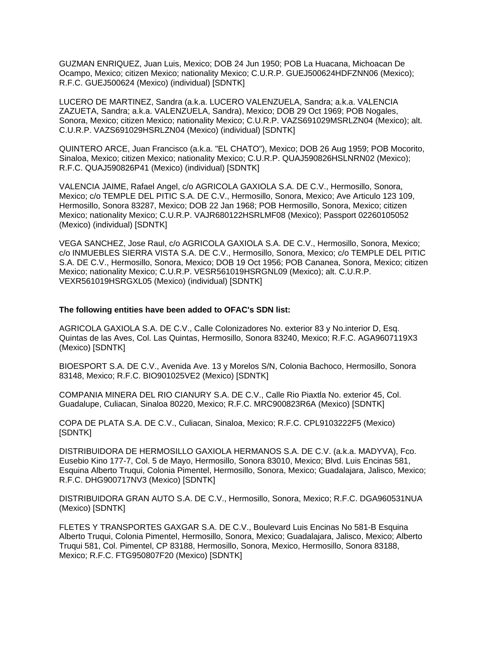GUZMAN ENRIQUEZ, Juan Luis, Mexico; DOB 24 Jun 1950; POB La Huacana, Michoacan De Ocampo, Mexico; citizen Mexico; nationality Mexico; C.U.R.P. GUEJ500624HDFZNN06 (Mexico); R.F.C. GUEJ500624 (Mexico) (individual) [SDNTK]

LUCERO DE MARTINEZ, Sandra (a.k.a. LUCERO VALENZUELA, Sandra; a.k.a. VALENCIA ZAZUETA, Sandra; a.k.a. VALENZUELA, Sandra), Mexico; DOB 29 Oct 1969; POB Nogales, Sonora, Mexico; citizen Mexico; nationality Mexico; C.U.R.P. VAZS691029MSRLZN04 (Mexico); alt. C.U.R.P. VAZS691029HSRLZN04 (Mexico) (individual) [SDNTK]

QUINTERO ARCE, Juan Francisco (a.k.a. "EL CHATO"), Mexico; DOB 26 Aug 1959; POB Mocorito, Sinaloa, Mexico; citizen Mexico; nationality Mexico; C.U.R.P. QUAJ590826HSLNRN02 (Mexico); R.F.C. QUAJ590826P41 (Mexico) (individual) [SDNTK]

VALENCIA JAIME, Rafael Angel, c/o AGRICOLA GAXIOLA S.A. DE C.V., Hermosillo, Sonora, Mexico; c/o TEMPLE DEL PITIC S.A. DE C.V., Hermosillo, Sonora, Mexico; Ave Articulo 123 109, Hermosillo, Sonora 83287, Mexico; DOB 22 Jan 1968; POB Hermosillo, Sonora, Mexico; citizen Mexico; nationality Mexico; C.U.R.P. VAJR680122HSRLMF08 (Mexico); Passport 02260105052 (Mexico) (individual) [SDNTK]

VEGA SANCHEZ, Jose Raul, c/o AGRICOLA GAXIOLA S.A. DE C.V., Hermosillo, Sonora, Mexico; c/o INMUEBLES SIERRA VISTA S.A. DE C.V., Hermosillo, Sonora, Mexico; c/o TEMPLE DEL PITIC S.A. DE C.V., Hermosillo, Sonora, Mexico; DOB 19 Oct 1956; POB Cananea, Sonora, Mexico; citizen Mexico; nationality Mexico; C.U.R.P. VESR561019HSRGNL09 (Mexico); alt. C.U.R.P. VEXR561019HSRGXL05 (Mexico) (individual) [SDNTK]

### **The following entities have been added to OFAC's SDN list:**

AGRICOLA GAXIOLA S.A. DE C.V., Calle Colonizadores No. exterior 83 y No.interior D, Esq. Quintas de las Aves, Col. Las Quintas, Hermosillo, Sonora 83240, Mexico; R.F.C. AGA9607119X3 (Mexico) [SDNTK]

BIOESPORT S.A. DE C.V., Avenida Ave. 13 y Morelos S/N, Colonia Bachoco, Hermosillo, Sonora 83148, Mexico; R.F.C. BIO901025VE2 (Mexico) [SDNTK]

COMPANIA MINERA DEL RIO CIANURY S.A. DE C.V., Calle Rio Piaxtla No. exterior 45, Col. Guadalupe, Culiacan, Sinaloa 80220, Mexico; R.F.C. MRC900823R6A (Mexico) [SDNTK]

COPA DE PLATA S.A. DE C.V., Culiacan, Sinaloa, Mexico; R.F.C. CPL9103222F5 (Mexico) [SDNTK]

DISTRIBUIDORA DE HERMOSILLO GAXIOLA HERMANOS S.A. DE C.V. (a.k.a. MADYVA), Fco. Eusebio Kino 177-7, Col. 5 de Mayo, Hermosillo, Sonora 83010, Mexico; Blvd. Luis Encinas 581, Esquina Alberto Truqui, Colonia Pimentel, Hermosillo, Sonora, Mexico; Guadalajara, Jalisco, Mexico; R.F.C. DHG900717NV3 (Mexico) [SDNTK]

DISTRIBUIDORA GRAN AUTO S.A. DE C.V., Hermosillo, Sonora, Mexico; R.F.C. DGA960531NUA (Mexico) [SDNTK]

FLETES Y TRANSPORTES GAXGAR S.A. DE C.V., Boulevard Luis Encinas No 581-B Esquina Alberto Truqui, Colonia Pimentel, Hermosillo, Sonora, Mexico; Guadalajara, Jalisco, Mexico; Alberto Truqui 581, Col. Pimentel, CP 83188, Hermosillo, Sonora, Mexico, Hermosillo, Sonora 83188, Mexico; R.F.C. FTG950807F20 (Mexico) [SDNTK]